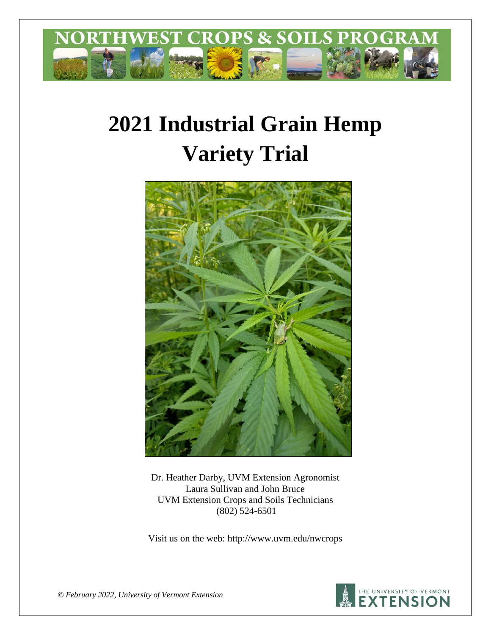

# **2021 Industrial Grain Hemp Variety Trial**



Dr. Heather Darby, UVM Extension Agronomist Laura Sullivan and John Bruce UVM Extension Crops and Soils Technicians (802) 524-6501

Visit us on the web: http://www.uvm.edu/nwcrops



*© February 2022, University of Vermont Extension*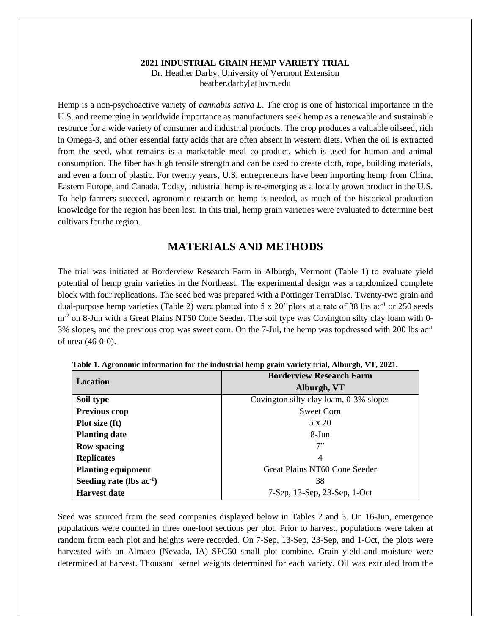#### **2021 INDUSTRIAL GRAIN HEMP VARIETY TRIAL** Dr. Heather Darby, University of Vermont Extension heather.darby[at]uvm.edu

Hemp is a non-psychoactive variety of *cannabis sativa L*. The crop is one of historical importance in the U.S. and reemerging in worldwide importance as manufacturers seek hemp as a renewable and sustainable resource for a wide variety of consumer and industrial products. The crop produces a valuable oilseed, rich in Omega-3, and other essential fatty acids that are often absent in western diets. When the oil is extracted from the seed, what remains is a marketable meal co-product, which is used for human and animal consumption. The fiber has high tensile strength and can be used to create cloth, rope, building materials, and even a form of plastic. For twenty years, U.S. entrepreneurs have been importing hemp from China, Eastern Europe, and Canada. Today, industrial hemp is re-emerging as a locally grown product in the U.S. To help farmers succeed, agronomic research on hemp is needed, as much of the historical production knowledge for the region has been lost. In this trial, hemp grain varieties were evaluated to determine best cultivars for the region.

## **MATERIALS AND METHODS**

The trial was initiated at Borderview Research Farm in Alburgh, Vermont (Table 1) to evaluate yield potential of hemp grain varieties in the Northeast. The experimental design was a randomized complete block with four replications. The seed bed was prepared with a Pottinger TerraDisc. Twenty-two grain and dual-purpose hemp varieties (Table 2) were planted into  $5 \times 20'$  plots at a rate of 38 lbs ac<sup>-1</sup> or 250 seeds m<sup>-2</sup> on 8-Jun with a Great Plains NT60 Cone Seeder. The soil type was Covington silty clay loam with 0-3% slopes, and the previous crop was sweet corn. On the 7-Jul, the hemp was topdressed with 200 lbs ac-1 of urea (46-0-0).

| Location                      | <b>Borderview Research Farm</b>        |  |  |
|-------------------------------|----------------------------------------|--|--|
|                               | Alburgh, VT                            |  |  |
| Soil type                     | Covington silty clay loam, 0-3% slopes |  |  |
| <b>Previous crop</b>          | Sweet Corn                             |  |  |
| Plot size (ft)                | $5 \times 20$                          |  |  |
| <b>Planting date</b>          | 8-Jun                                  |  |  |
| <b>Row spacing</b>            | 7"                                     |  |  |
| <b>Replicates</b>             | 4                                      |  |  |
| <b>Planting equipment</b>     | Great Plains NT60 Cone Seeder          |  |  |
| Seeding rate (lbs $ac^{-1}$ ) | 38                                     |  |  |
| <b>Harvest date</b>           | 7-Sep, 13-Sep, 23-Sep, 1-Oct           |  |  |

**Table 1. Agronomic information for the industrial hemp grain variety trial, Alburgh, VT, 2021.**

Seed was sourced from the seed companies displayed below in Tables 2 and 3. On 16-Jun, emergence populations were counted in three one-foot sections per plot. Prior to harvest, populations were taken at random from each plot and heights were recorded. On 7-Sep, 13-Sep, 23-Sep, and 1-Oct, the plots were harvested with an Almaco (Nevada, IA) SPC50 small plot combine. Grain yield and moisture were determined at harvest. Thousand kernel weights determined for each variety. Oil was extruded from the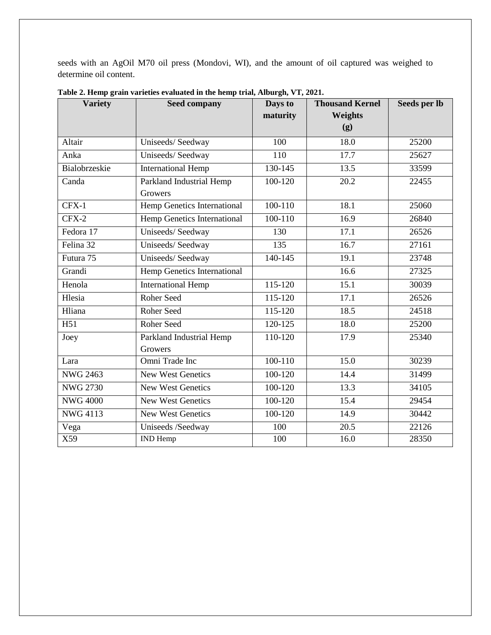seeds with an AgOil M70 oil press (Mondovi, WI), and the amount of oil captured was weighed to determine oil content.

| <b>Variety</b>  | <b>Seed company</b>         | Days to     | <b>Thousand Kernel</b> | Seeds per lb |
|-----------------|-----------------------------|-------------|------------------------|--------------|
|                 |                             | maturity    | Weights                |              |
|                 |                             |             | (g)                    |              |
| Altair          | Uniseeds/Seedway            | 100         | 18.0                   | 25200        |
| Anka            | Uniseeds/Seedway            | 110         | 17.7                   | 25627        |
| Bialobrzeskie   | <b>International Hemp</b>   | 130-145     | 13.5                   | 33599        |
| Canda           | Parkland Industrial Hemp    | 100-120     | 20.2                   | 22455        |
|                 | Growers                     |             |                        |              |
| $CFX-1$         | Hemp Genetics International | $100 - 110$ | 18.1                   | 25060        |
| CFX-2           | Hemp Genetics International | 100-110     | 16.9                   | 26840        |
| Fedora 17       | Uniseeds/Seedway            | 130         | 17.1                   | 26526        |
| Felina 32       | Uniseeds/Seedway            | 135         | 16.7                   | 27161        |
| Futura 75       | Uniseeds/Seedway            | $140 - 145$ | 19.1                   | 23748        |
| Grandi          | Hemp Genetics International |             | 16.6                   | 27325        |
| Henola          | <b>International Hemp</b>   | 115-120     | 15.1                   | 30039        |
| Hlesia          | Roher Seed                  | 115-120     | 17.1                   | 26526        |
| Hliana          | Roher Seed                  | 115-120     | 18.5                   | 24518        |
| H51             | <b>Roher Seed</b>           | 120-125     | 18.0                   | 25200        |
| Joey            | Parkland Industrial Hemp    | 110-120     | 17.9                   | 25340        |
|                 | Growers                     |             |                        |              |
| Lara            | Omni Trade Inc              | $100 - 110$ | $\overline{15.0}$      | 30239        |
| <b>NWG 2463</b> | <b>New West Genetics</b>    | 100-120     | 14.4                   | 31499        |
| <b>NWG 2730</b> | <b>New West Genetics</b>    | 100-120     | 13.3                   | 34105        |
| <b>NWG 4000</b> | <b>New West Genetics</b>    | 100-120     | 15.4                   | 29454        |
| $NWG$ 4113      | <b>New West Genetics</b>    | 100-120     | 14.9                   | 30442        |
| Vega            | Uniseeds /Seedway           | 100         | 20.5                   | 22126        |
| X59             | IND Hemp                    | 100         | 16.0                   | 28350        |

**Table 2. Hemp grain varieties evaluated in the hemp trial, Alburgh, VT, 2021.**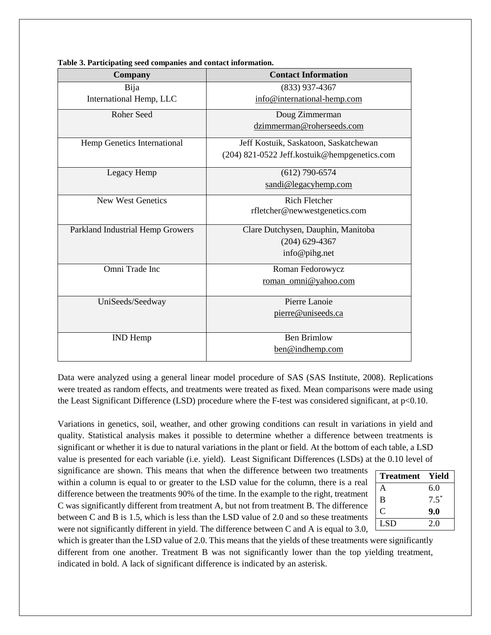| Company                          | <b>Contact Information</b>                   |  |  |
|----------------------------------|----------------------------------------------|--|--|
| Bija                             | $(833)$ 937-4367                             |  |  |
| International Hemp, LLC          | info@international-hemp.com                  |  |  |
| <b>Roher Seed</b>                | Doug Zimmerman                               |  |  |
|                                  | dzimmerman@roherseeds.com                    |  |  |
| Hemp Genetics International      | Jeff Kostuik, Saskatoon, Saskatchewan        |  |  |
|                                  | (204) 821-0522 Jeff.kostuik@hempgenetics.com |  |  |
| Legacy Hemp                      | $(612)$ 790-6574                             |  |  |
|                                  | sandi@legacyhemp.com                         |  |  |
| <b>New West Genetics</b>         | <b>Rich Fletcher</b>                         |  |  |
|                                  | rfletcher@newwestgenetics.com                |  |  |
| Parkland Industrial Hemp Growers | Clare Dutchysen, Dauphin, Manitoba           |  |  |
|                                  | $(204)$ 629-4367                             |  |  |
|                                  | info@pihg.net                                |  |  |
| Omni Trade Inc                   | Roman Fedorowycz                             |  |  |
|                                  | roman_omni@yahoo.com                         |  |  |
| UniSeeds/Seedway                 | Pierre Lanoie                                |  |  |
|                                  | pierre@uniseeds.ca                           |  |  |
|                                  |                                              |  |  |
| <b>IND</b> Hemp                  | <b>Ben Brimlow</b>                           |  |  |
|                                  | ben@indhemp.com                              |  |  |

**Table 3. Participating seed companies and contact information.**

Data were analyzed using a general linear model procedure of SAS (SAS Institute, 2008). Replications were treated as random effects, and treatments were treated as fixed. Mean comparisons were made using the Least Significant Difference (LSD) procedure where the F-test was considered significant, at p<0.10.

Variations in genetics, soil, weather, and other growing conditions can result in variations in yield and quality. Statistical analysis makes it possible to determine whether a difference between treatments is significant or whether it is due to natural variations in the plant or field. At the bottom of each table, a LSD value is presented for each variable (i.e. yield). Least Significant Differences (LSDs) at the 0.10 level of

significance are shown. This means that when the difference between two treatments within a column is equal to or greater to the LSD value for the column, there is a real difference between the treatments 90% of the time. In the example to the right, treatment C was significantly different from treatment A, but not from treatment B. The difference between C and B is 1.5, which is less than the LSD value of 2.0 and so these treatments were not significantly different in yield. The difference between C and A is equal to 3.0,

| <b>Treatment</b> | Yield   |
|------------------|---------|
| А                | 6.0     |
| B                | $7.5^*$ |
| C                | 9.0     |
| LSD              | 2.0     |

which is greater than the LSD value of 2.0. This means that the yields of these treatments were significantly different from one another. Treatment B was not significantly lower than the top yielding treatment, indicated in bold. A lack of significant difference is indicated by an asterisk.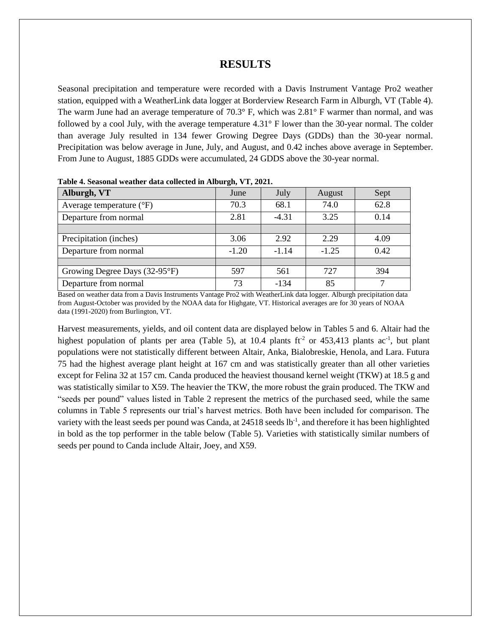#### **RESULTS**

Seasonal precipitation and temperature were recorded with a Davis Instrument Vantage Pro2 weather station, equipped with a WeatherLink data logger at Borderview Research Farm in Alburgh, VT (Table 4). The warm June had an average temperature of 70.3° F, which was 2.81° F warmer than normal, and was followed by a cool July, with the average temperature 4.31° F lower than the 30-year normal. The colder than average July resulted in 134 fewer Growing Degree Days (GDDs) than the 30-year normal. Precipitation was below average in June, July, and August, and 0.42 inches above average in September. From June to August, 1885 GDDs were accumulated, 24 GDDS above the 30-year normal.

| Alburgh, VT                       | June    | July    | August  | Sept |
|-----------------------------------|---------|---------|---------|------|
| Average temperature $(^{\circ}F)$ | 70.3    | 68.1    | 74.0    | 62.8 |
| Departure from normal             | 2.81    | $-4.31$ | 3.25    | 0.14 |
|                                   |         |         |         |      |
| Precipitation (inches)            | 3.06    | 2.92    | 2.29    | 4.09 |
| Departure from normal             | $-1.20$ | $-1.14$ | $-1.25$ | 0.42 |
|                                   |         |         |         |      |
| Growing Degree Days (32-95°F)     | 597     | 561     | 727     | 394  |
| Departure from normal             | 73      | $-134$  | 85      | ⇁    |

**Table 4. Seasonal weather data collected in Alburgh, VT, 2021.**

Based on weather data from a Davis Instruments Vantage Pro2 with WeatherLink data logger. Alburgh precipitation data from August-October was provided by the NOAA data for Highgate, VT. Historical averages are for 30 years of NOAA data (1991-2020) from Burlington, VT.

Harvest measurements, yields, and oil content data are displayed below in Tables 5 and 6. Altair had the highest population of plants per area (Table 5), at 10.4 plants  $\text{ft}^2$  or 453,413 plants ac<sup>-1</sup>, but plant populations were not statistically different between Altair, Anka, Bialobreskie, Henola, and Lara. Futura 75 had the highest average plant height at 167 cm and was statistically greater than all other varieties except for Felina 32 at 157 cm. Canda produced the heaviest thousand kernel weight (TKW) at 18.5 g and was statistically similar to X59. The heavier the TKW, the more robust the grain produced. The TKW and "seeds per pound" values listed in Table 2 represent the metrics of the purchased seed, while the same columns in Table 5 represents our trial's harvest metrics. Both have been included for comparison. The variety with the least seeds per pound was Canda, at 24518 seeds lb<sup>-1</sup>, and therefore it has been highlighted in bold as the top performer in the table below (Table 5). Varieties with statistically similar numbers of seeds per pound to Canda include Altair, Joey, and X59.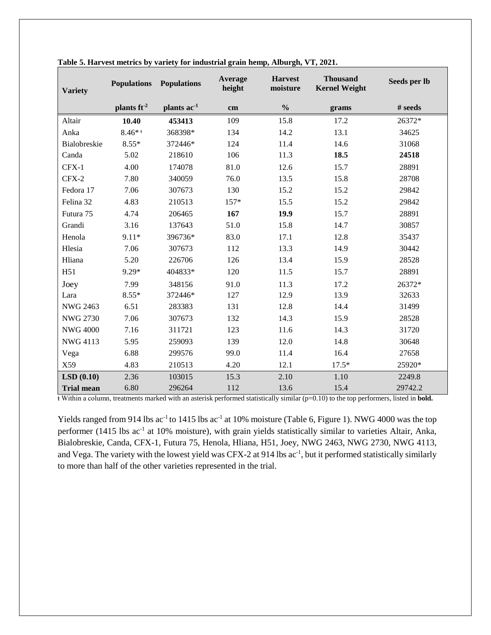| <b>Variety</b>    | <b>Populations</b>      | <b>Populations</b>     | Average<br>height | <b>Harvest</b><br>moisture | <b>Thousand</b><br><b>Kernel Weight</b> | Seeds per lb |
|-------------------|-------------------------|------------------------|-------------------|----------------------------|-----------------------------------------|--------------|
|                   | plants ft <sup>-2</sup> | plants ac <sup>1</sup> | cm                | $\frac{0}{0}$              | grams                                   | # seeds      |
| Altair            | 10.40                   | 453413                 | 109               | 15.8                       | 17.2                                    | 26372*       |
| Anka              | $8.46$ * t              | 368398*                | 134               | 14.2                       | 13.1                                    | 34625        |
| Bialobreskie      | $8.55*$                 | 372446*                | 124               | 11.4                       | 14.6                                    | 31068        |
| Canda             | 5.02                    | 218610                 | 106               | 11.3                       | 18.5                                    | 24518        |
| CFX-1             | 4.00                    | 174078                 | 81.0              | 12.6                       | 15.7                                    | 28891        |
| CFX-2             | 7.80                    | 340059                 | 76.0              | 13.5                       | 15.8                                    | 28708        |
| Fedora 17         | 7.06                    | 307673                 | 130               | 15.2                       | 15.2                                    | 29842        |
| Felina 32         | 4.83                    | 210513                 | $157*$            | 15.5                       | 15.2                                    | 29842        |
| Futura 75         | 4.74                    | 206465                 | 167               | 19.9                       | 15.7                                    | 28891        |
| Grandi            | 3.16                    | 137643                 | 51.0              | 15.8                       | 14.7                                    | 30857        |
| Henola            | $9.11*$                 | 396736*                | 83.0              | 17.1                       | 12.8                                    | 35437        |
| Hlesia            | 7.06                    | 307673                 | 112               | 13.3                       | 14.9                                    | 30442        |
| Hliana            | 5.20                    | 226706                 | 126               | 13.4                       | 15.9                                    | 28528        |
| H51               | $9.29*$                 | 404833*                | 120               | 11.5                       | 15.7                                    | 28891        |
| Joey              | 7.99                    | 348156                 | 91.0              | 11.3                       | 17.2                                    | 26372*       |
| Lara              | $8.55*$                 | 372446*                | 127               | 12.9                       | 13.9                                    | 32633        |
| <b>NWG 2463</b>   | 6.51                    | 283383                 | 131               | 12.8                       | 14.4                                    | 31499        |
| <b>NWG 2730</b>   | 7.06                    | 307673                 | 132               | 14.3                       | 15.9                                    | 28528        |
| <b>NWG 4000</b>   | 7.16                    | 311721                 | 123               | 11.6                       | 14.3                                    | 31720        |
| NWG 4113          | 5.95                    | 259093                 | 139               | 12.0                       | 14.8                                    | 30648        |
| Vega              | 6.88                    | 299576                 | 99.0              | 11.4                       | 16.4                                    | 27658        |
| X59               | 4.83                    | 210513                 | 4.20              | 12.1                       | $17.5*$                                 | 25920*       |
| LSD(0.10)         | 2.36                    | 103015                 | 15.3              | 2.10                       | 1.10                                    | 2249.8       |
| <b>Trial mean</b> | 6.80                    | 296264                 | 112               | 13.6                       | 15.4                                    | 29742.2      |

| Table 5. Harvest metrics by variety for industrial grain hemp, Alburgh, VT, 2021. |  |  |  |
|-----------------------------------------------------------------------------------|--|--|--|
|                                                                                   |  |  |  |

ŧ Within a column, treatments marked with an asterisk performed statistically similar (p=0.10) to the top performers, listed in **bold.**

Yields ranged from 914 lbs ac<sup>-1</sup> to 1415 lbs ac<sup>-1</sup> at 10% moisture (Table 6, Figure 1). NWG 4000 was the top performer (1415 lbs ac<sup>-1</sup> at 10% moisture), with grain yields statistically similar to varieties Altair, Anka, Bialobreskie, Canda, CFX-1, Futura 75, Henola, Hliana, H51, Joey, NWG 2463, NWG 2730, NWG 4113, and Vega. The variety with the lowest yield was CFX-2 at 914 lbs ac<sup>-1</sup>, but it performed statistically similarly to more than half of the other varieties represented in the trial.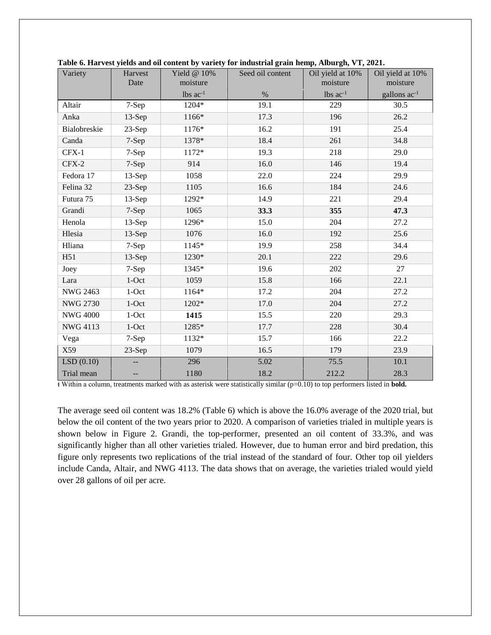| Variety         | Harvest<br>Date | Yield $@$ 10%<br>moisture | Seed oil content | $\overline{\phantom{a}}$<br>Oil yield at 10%<br>moisture | Oil yield at 10%<br>moisture |
|-----------------|-----------------|---------------------------|------------------|----------------------------------------------------------|------------------------------|
|                 |                 | $lbs$ $ac^{-1}$           | $\%$             | $lbs$ $ac^{-1}$                                          | gallons $ac^{-1}$            |
| Altair          | 7-Sep           | 1204*                     | 19.1             | 229                                                      | 30.5                         |
| Anka            | $13-Sep$        | 1166*                     | 17.3             | 196                                                      | 26.2                         |
| Bialobreskie    | 23-Sep          | 1176*                     | 16.2             | 191                                                      | 25.4                         |
| Canda           | 7-Sep           | 1378*                     | 18.4             | 261                                                      | 34.8                         |
| CFX-1           | 7-Sep           | 1172*                     | 19.3             | 218                                                      | 29.0                         |
| CFX-2           | 7-Sep           | 914                       | 16.0             | 146                                                      | 19.4                         |
| Fedora 17       | $13-Sep$        | 1058                      | 22.0             | 224                                                      | 29.9                         |
| Felina 32       | $23-Sep$        | 1105                      | 16.6             | 184                                                      | 24.6                         |
| Futura 75       | $13-Sep$        | 1292*                     | 14.9             | 221                                                      | 29.4                         |
| Grandi          | 7-Sep           | 1065                      | 33.3             | 355                                                      | 47.3                         |
| Henola          | $13-Sep$        | 1296*                     | 15.0             | 204                                                      | 27.2                         |
| Hlesia          | $13-Sep$        | 1076                      | 16.0             | 192                                                      | 25.6                         |
| Hliana          | 7-Sep           | 1145*                     | 19.9             | 258                                                      | 34.4                         |
| H51             | $13-Sep$        | 1230*                     | 20.1             | 222                                                      | 29.6                         |
| Joey            | 7-Sep           | 1345*                     | 19.6             | 202                                                      | 27                           |
| Lara            | $1$ -Oct        | 1059                      | 15.8             | 166                                                      | 22.1                         |
| <b>NWG 2463</b> | $1$ -Oct        | 1164*                     | 17.2             | 204                                                      | 27.2                         |
| <b>NWG 2730</b> | $1$ -Oct        | 1202*                     | 17.0             | 204                                                      | 27.2                         |
| <b>NWG 4000</b> | $1$ -Oct        | 1415                      | 15.5             | 220                                                      | 29.3                         |
| <b>NWG 4113</b> | $1$ -Oct        | 1285*                     | 17.7             | 228                                                      | 30.4                         |
| Vega            | 7-Sep           | 1132*                     | 15.7             | 166                                                      | 22.2                         |
| X59             | $23-Sep$        | 1079                      | 16.5             | 179                                                      | 23.9                         |
| LSD(0.10)       |                 | 296                       | 5.02             | 75.5                                                     | 10.1                         |
| Trial mean      |                 | 1180                      | 18.2             | 212.2                                                    | 28.3                         |

**Table 6. Harvest yields and oil content by variety for industrial grain hemp, Alburgh, VT, 2021.** 

 $\overline{\textbf{t}}$  Within a column, treatments marked with as asterisk were statistically similar ( $p=0.10$ ) to top performers listed in **bold.** 

The average seed oil content was 18.2% (Table 6) which is above the 16.0% average of the 2020 trial, but below the oil content of the two years prior to 2020. A comparison of varieties trialed in multiple years is shown below in Figure 2. Grandi, the top-performer, presented an oil content of 33.3%, and was significantly higher than all other varieties trialed. However, due to human error and bird predation, this figure only represents two replications of the trial instead of the standard of four. Other top oil yielders include Canda, Altair, and NWG 4113. The data shows that on average, the varieties trialed would yield over 28 gallons of oil per acre.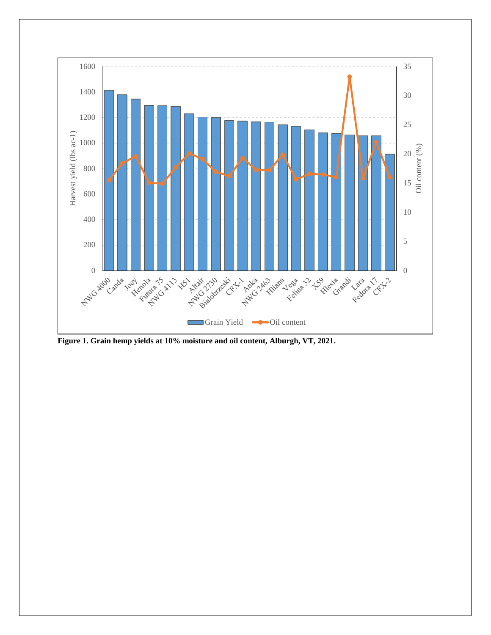

**Figure 1. Grain hemp yields at 10% moisture and oil content, Alburgh, VT, 2021.**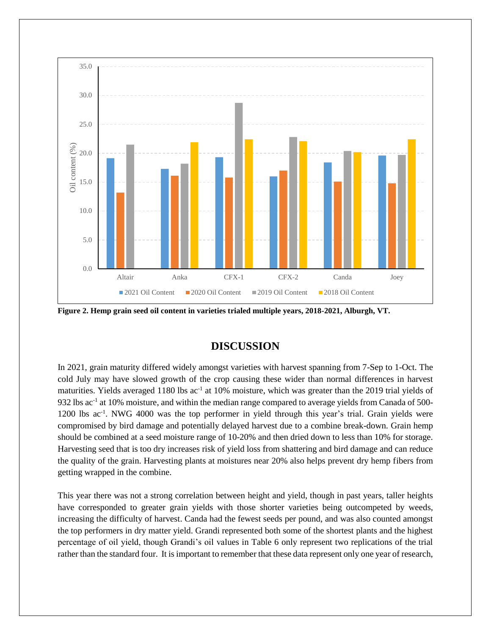

**Figure 2. Hemp grain seed oil content in varieties trialed multiple years, 2018-2021, Alburgh, VT.** 

### **DISCUSSION**

In 2021, grain maturity differed widely amongst varieties with harvest spanning from 7-Sep to 1-Oct. The cold July may have slowed growth of the crop causing these wider than normal differences in harvest maturities. Yields averaged 1180 lbs ac<sup>-1</sup> at 10% moisture, which was greater than the 2019 trial yields of 932 lbs ac<sup>-1</sup> at 10% moisture, and within the median range compared to average yields from Canada of 500-1200 lbs ac<sup>-1</sup>. NWG 4000 was the top performer in yield through this year's trial. Grain yields were compromised by bird damage and potentially delayed harvest due to a combine break-down. Grain hemp should be combined at a seed moisture range of 10-20% and then dried down to less than 10% for storage. Harvesting seed that is too dry increases risk of yield loss from shattering and bird damage and can reduce the quality of the grain. Harvesting plants at moistures near 20% also helps prevent dry hemp fibers from getting wrapped in the combine.

This year there was not a strong correlation between height and yield, though in past years, taller heights have corresponded to greater grain yields with those shorter varieties being outcompeted by weeds, increasing the difficulty of harvest. Canda had the fewest seeds per pound, and was also counted amongst the top performers in dry matter yield. Grandi represented both some of the shortest plants and the highest percentage of oil yield, though Grandi's oil values in Table 6 only represent two replications of the trial rather than the standard four. It is important to remember that these data represent only one year of research,